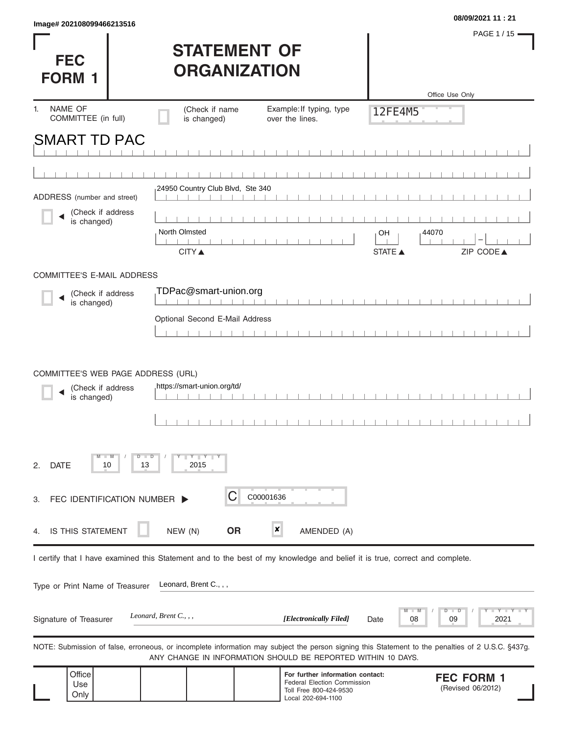| <b>FEC</b><br><b>FORM 1</b>                                            |          | <b>STATEMENT OF</b><br><b>ORGANIZATION</b> |           |                                                                                                                            |                | PAGE 1/15<br>Office Use Only                                                                                                                      |
|------------------------------------------------------------------------|----------|--------------------------------------------|-----------|----------------------------------------------------------------------------------------------------------------------------|----------------|---------------------------------------------------------------------------------------------------------------------------------------------------|
| NAME OF<br>1.<br>COMMITTEE (in full)                                   |          | (Check if name<br>is changed)              |           | Example: If typing, type<br>over the lines.                                                                                | 12FE4M5        |                                                                                                                                                   |
| <b>SMART TD PAC</b>                                                    |          |                                            |           |                                                                                                                            |                |                                                                                                                                                   |
|                                                                        |          |                                            |           |                                                                                                                            |                |                                                                                                                                                   |
| ADDRESS (number and street)                                            |          | 24950 Country Club Blvd, Ste 340           |           |                                                                                                                            |                |                                                                                                                                                   |
| (Check if address<br>is changed)                                       |          |                                            |           |                                                                                                                            |                |                                                                                                                                                   |
|                                                                        |          | North Olmsted                              |           |                                                                                                                            | OH             | 44070                                                                                                                                             |
|                                                                        |          | <b>CITY</b> ▲                              |           |                                                                                                                            | <b>STATE ▲</b> | ZIP CODE▲                                                                                                                                         |
| COMMITTEE'S E-MAIL ADDRESS                                             |          |                                            |           |                                                                                                                            |                |                                                                                                                                                   |
| (Check if address<br>is changed)                                       |          | TDPac@smart-union.org                      |           |                                                                                                                            |                |                                                                                                                                                   |
|                                                                        |          | Optional Second E-Mail Address             |           |                                                                                                                            |                |                                                                                                                                                   |
|                                                                        |          |                                            |           |                                                                                                                            |                |                                                                                                                                                   |
| COMMITTEE'S WEB PAGE ADDRESS (URL)<br>(Check if address<br>is changed) |          | https://smart-union.org/td/                |           |                                                                                                                            |                |                                                                                                                                                   |
| <b>DATE</b><br>2.<br>10                                                | −⊃<br>13 | $Y$ $Y$ $Y$<br>2015                        |           |                                                                                                                            |                |                                                                                                                                                   |
| FEC IDENTIFICATION NUMBER  <br>З.                                      |          |                                            | C00001636 |                                                                                                                            |                |                                                                                                                                                   |
| IS THIS STATEMENT<br>4.                                                |          | NEW (N)                                    | <b>OR</b> | ×<br>AMENDED (A)                                                                                                           |                |                                                                                                                                                   |
|                                                                        |          |                                            |           | I certify that I have examined this Statement and to the best of my knowledge and belief it is true, correct and complete. |                |                                                                                                                                                   |
| Type or Print Name of Treasurer                                        |          | Leonard, Brent C., , ,                     |           |                                                                                                                            |                |                                                                                                                                                   |
| Signature of Treasurer                                                 |          | Leonard, Brent $C_1$ , ,                   |           | [Electronically Filed]                                                                                                     | 08<br>Date     | Y TY<br>2021<br>09                                                                                                                                |
|                                                                        |          |                                            |           | ANY CHANGE IN INFORMATION SHOULD BE REPORTED WITHIN 10 DAYS.                                                               |                | NOTE: Submission of false, erroneous, or incomplete information may subject the person signing this Statement to the penalties of 2 U.S.C. §437g. |
| Office<br>Use<br>Only                                                  |          |                                            |           | For further information contact:<br>Federal Election Commission<br>Toll Free 800-424-9530<br>Local 202-694-1100            |                | <b>FEC FORM 1</b><br>(Revised 06/2012)                                                                                                            |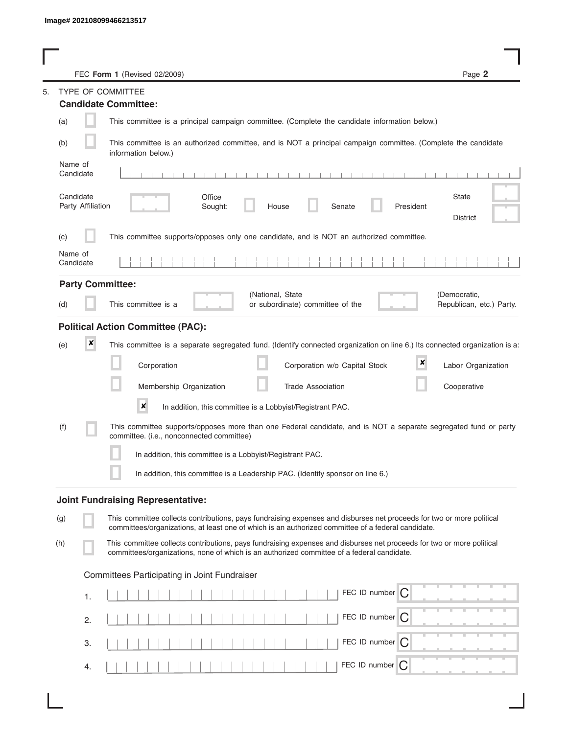|                                | FEC Form 1 (Revised 02/2009)                                                                                                                                                                                                | Page 2                                   |
|--------------------------------|-----------------------------------------------------------------------------------------------------------------------------------------------------------------------------------------------------------------------------|------------------------------------------|
| TYPE OF COMMITTEE              |                                                                                                                                                                                                                             |                                          |
| <b>Candidate Committee:</b>    |                                                                                                                                                                                                                             |                                          |
| (a)                            | This committee is a principal campaign committee. (Complete the candidate information below.)                                                                                                                               |                                          |
| (b)                            | This committee is an authorized committee, and is NOT a principal campaign committee. (Complete the candidate<br>information below.)                                                                                        |                                          |
| Name of<br>Candidate           | $1 - 1 - 1 - 1 - 1$<br>$1 - 1 - 1 - 1 - 1$                                                                                                                                                                                  |                                          |
| Candidate<br>Party Affiliation | Office<br>Sought:<br>Senate<br>President<br>House                                                                                                                                                                           | <b>State</b><br><b>District</b>          |
| (c)                            | This committee supports/opposes only one candidate, and is NOT an authorized committee.                                                                                                                                     |                                          |
| Name of<br>Candidate           |                                                                                                                                                                                                                             |                                          |
| <b>Party Committee:</b>        |                                                                                                                                                                                                                             |                                          |
| (d)                            | (National, State<br>This committee is a<br>or subordinate) committee of the                                                                                                                                                 | (Democratic,<br>Republican, etc.) Party. |
|                                | <b>Political Action Committee (PAC):</b>                                                                                                                                                                                    |                                          |
| ×<br>(e)                       | This committee is a separate segregated fund. (Identify connected organization on line 6.) Its connected organization is a:                                                                                                 |                                          |
|                                | ×<br>Corporation<br>Corporation w/o Capital Stock                                                                                                                                                                           | Labor Organization                       |
|                                | Membership Organization<br><b>Trade Association</b>                                                                                                                                                                         | Cooperative                              |
|                                | $\pmb{\times}$<br>In addition, this committee is a Lobbyist/Registrant PAC.                                                                                                                                                 |                                          |
| (f)                            | This committee supports/opposes more than one Federal candidate, and is NOT a separate segregated fund or party<br>committee. (i.e., nonconnected committee)                                                                |                                          |
|                                | In addition, this committee is a Lobbyist/Registrant PAC.                                                                                                                                                                   |                                          |
|                                | In addition, this committee is a Leadership PAC. (Identify sponsor on line 6.)                                                                                                                                              |                                          |
|                                | <b>Joint Fundraising Representative:</b>                                                                                                                                                                                    |                                          |
| (g)                            | This committee collects contributions, pays fundraising expenses and disburses net proceeds for two or more political<br>committees/organizations, at least one of which is an authorized committee of a federal candidate. |                                          |
| (h)                            | This committee collects contributions, pays fundraising expenses and disburses net proceeds for two or more political<br>committees/organizations, none of which is an authorized committee of a federal candidate.         |                                          |
|                                | Committees Participating in Joint Fundraiser                                                                                                                                                                                |                                          |
| 1.                             | FEC ID number $\bigcap$                                                                                                                                                                                                     |                                          |
| 2.                             | FEC ID number $\bigcap$                                                                                                                                                                                                     |                                          |
| З.                             | FEC ID number $\bigcap$                                                                                                                                                                                                     |                                          |
| 4.                             | FEC ID number<br>$\overline{C}$                                                                                                                                                                                             |                                          |

s,

I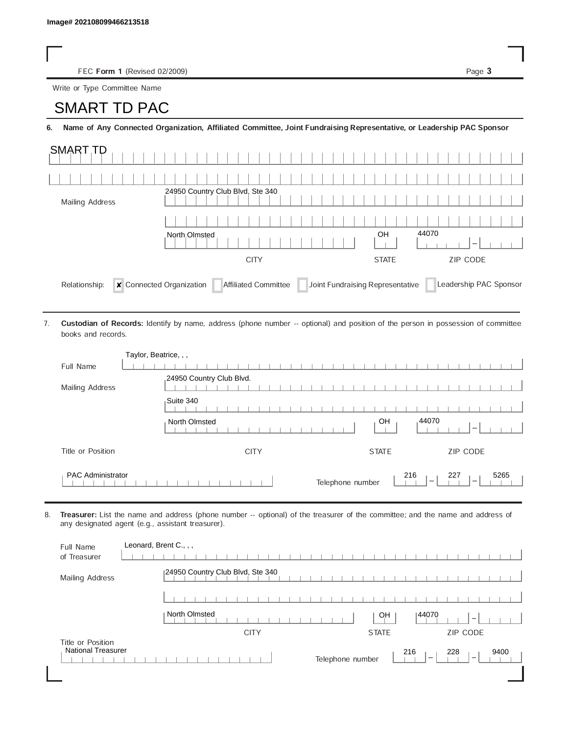FEC Form 1 (Revised 02/2009) Page 3

Write or Type Committee Name

## Image# 202108099466213518<br>
FEC Form 1 (Revised 02/2)<br>
Write or Type Committee Name<br> **SMART TD PAC**

6. Name of Any Connected Organization, Affiliated Committee, Joint Fundraising Representative, or Leadership PAC Sponsor

| <b>SMART TD</b> |                                                                                           |                          |
|-----------------|-------------------------------------------------------------------------------------------|--------------------------|
|                 |                                                                                           |                          |
| Mailing Address | 24950 Country Club Blvd, Ste 340                                                          |                          |
|                 |                                                                                           |                          |
|                 | North Olmsted                                                                             | 44070<br>OH<br>$\sim$    |
|                 | <b>CITY</b>                                                                               | ZIP CODE<br><b>STATE</b> |
| Relationship:   | Connected Organization<br>Joint Fundraising Representative<br><b>Affiliated Committee</b> | Leadership PAC Sponsor   |

Custodian of Records: Identify by name, address (phone number -- optional) and position of the person in possession of committee books and records. 7.

| Taylor, Beatrice, , ,    |                                                                                                |
|--------------------------|------------------------------------------------------------------------------------------------|
| Full Name                |                                                                                                |
| Mailing Address          | 24950 Country Club Blvd.                                                                       |
|                          | Suite 340                                                                                      |
|                          | 44070<br>OH<br>North Olmsted<br>$\overline{\phantom{a}}$                                       |
| Title or Position        | ZIP CODE<br><b>CITY</b><br><b>STATE</b>                                                        |
| <b>PAC Administrator</b> | 216<br>227<br>5265<br>Telephone number<br>$\overline{\phantom{a}}$<br>$\overline{\phantom{a}}$ |

8. Treasurer: List the name and address (phone number -- optional) of the treasurer of the committee; and the name and address of any designated agent (e.g., assistant treasurer).

| Full Name<br>of Treasurer                      | Leonard, Brent C., , ,                                                                 |
|------------------------------------------------|----------------------------------------------------------------------------------------|
| Mailing Address                                | 24950 Country Club Blvd, Ste 340                                                       |
|                                                |                                                                                        |
|                                                | North Olmsted<br>144070<br>OH<br>$\overline{\phantom{a}}$                              |
|                                                | <b>CITY</b><br><b>STATE</b><br><b>ZIP CODE</b>                                         |
| Title or Position<br><b>National Treasurer</b> | 216<br>228<br>9400<br>Telephone number<br>$\hspace{0.1mm}$<br>$\overline{\phantom{a}}$ |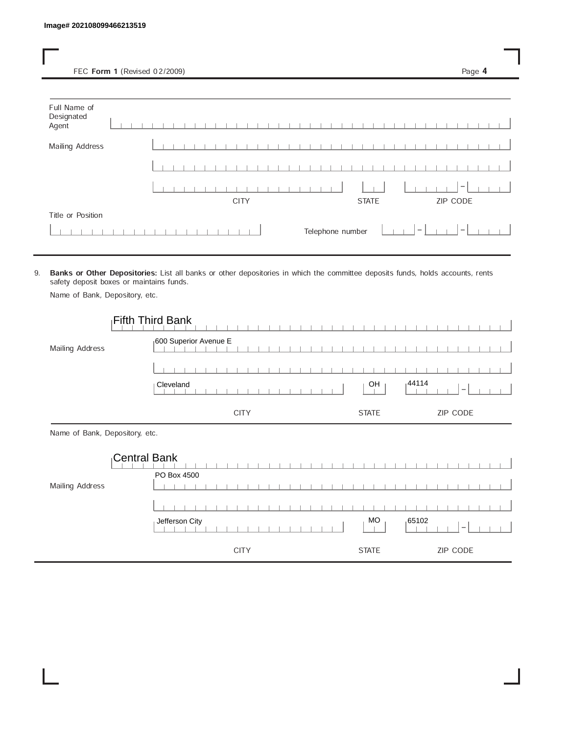FEC Form 1 (Revised 02/2009) Page 4

| Full Name of<br>Designated<br>Agent |  |  |  |  |             |  |  |  |  |                  |  |              |  |        |  |          |  |  |
|-------------------------------------|--|--|--|--|-------------|--|--|--|--|------------------|--|--------------|--|--------|--|----------|--|--|
| <b>Mailing Address</b>              |  |  |  |  |             |  |  |  |  |                  |  |              |  |        |  |          |  |  |
|                                     |  |  |  |  |             |  |  |  |  |                  |  |              |  |        |  |          |  |  |
|                                     |  |  |  |  |             |  |  |  |  |                  |  |              |  |        |  | $\,$     |  |  |
|                                     |  |  |  |  | <b>CITY</b> |  |  |  |  |                  |  | <b>STATE</b> |  |        |  | ZIP CODE |  |  |
| Title or Position                   |  |  |  |  |             |  |  |  |  |                  |  |              |  |        |  |          |  |  |
|                                     |  |  |  |  |             |  |  |  |  | Telephone number |  |              |  | $\sim$ |  | $ - $    |  |  |

9. Banks or Other Depositories: List all banks or other depositories in which the committee deposits funds, holds accounts, rents safety deposit boxes or maintains funds.

Name of Bank, Depository, etc.

|                                | <b>Fifth Third Bank</b> |              |                                    |
|--------------------------------|-------------------------|--------------|------------------------------------|
| Mailing Address                | 600 Superior Avenue E   |              |                                    |
|                                |                         |              |                                    |
|                                | Cleveland               | OH           | 144114<br>$\overline{\phantom{m}}$ |
|                                | <b>CITY</b>             | <b>STATE</b> | ZIP CODE                           |
| Name of Bank, Depository, etc. |                         |              |                                    |
|                                | <b>Central Bank</b>     |              |                                    |
| Mailing Address                | PO Box 4500             |              |                                    |
|                                |                         |              |                                    |
|                                | Jefferson City          | MO           | ,65102                             |
|                                |                         |              | $\overline{\phantom{a}}$           |
|                                | <b>CITY</b>             | <b>STATE</b> | ZIP CODE                           |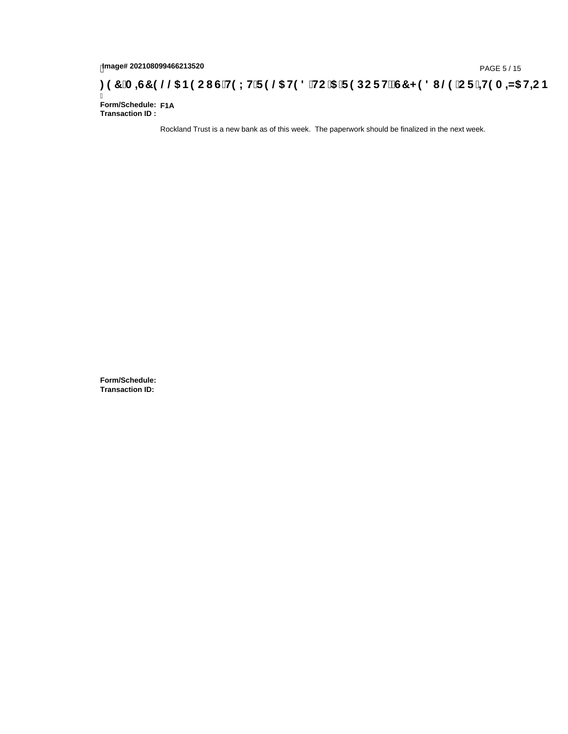## 1mage# 202108099466213520<br>DAGE 5/15(Red B9 C1 GTH9 LHTF 9 @ H9 8 THC 15 TF 9 DC F H2 G7 < 9 8 I @ TC F i <del>11</del>9 A =N5 H=C B

Ī **Form/Schedule: F1A Transaction ID :** 

Rockland Trust is a new bank as of this week. The paperwork should be finalized in the next week.

**Form/Schedule: Transaction ID:**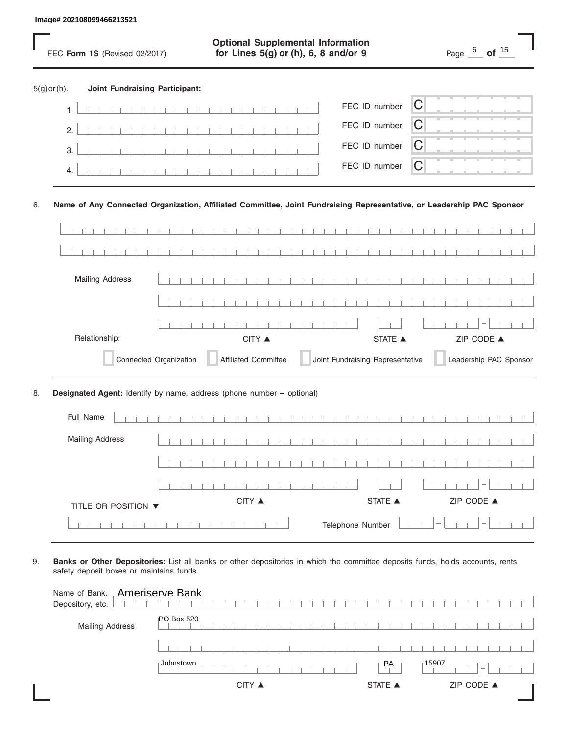|                |    | Image# 202108099466213521             |                                                                                                                       |                                                          |
|----------------|----|---------------------------------------|-----------------------------------------------------------------------------------------------------------------------|----------------------------------------------------------|
|                |    | FEC Form 1S (Revised 02/2017)         | <b>Optional Supplemental Information</b><br>for Lines 5(g) or (h), 6, 8 and/or 9                                      | Page $\frac{6}{\phantom{0}}$ of $\frac{15}{\phantom{0}}$ |
| $5(g)$ or (h). |    | <b>Joint Fundraising Participant:</b> |                                                                                                                       |                                                          |
|                | 1. |                                       | FEC ID number                                                                                                         | C                                                        |
|                | 2. |                                       | FEC ID number                                                                                                         | С                                                        |
|                | 3. |                                       | FEC ID number                                                                                                         | С                                                        |
|                | 4. |                                       | FEC ID number                                                                                                         | C                                                        |
| 6.             |    |                                       | Name of Any Connected Organization, Affiliated Committee, Joint Fundraising Representative, or Leadership PAC Sponsor |                                                          |
|                |    |                                       |                                                                                                                       |                                                          |
|                |    |                                       | $\sim$ 1 $\sim$ 1 $\sim$<br>$\blacksquare$                                                                            |                                                          |
|                |    | <b>Mailing Address</b>                |                                                                                                                       |                                                          |
|                |    |                                       |                                                                                                                       |                                                          |
|                |    |                                       |                                                                                                                       |                                                          |
|                |    | Relationship:                         | CITY ▲                                                                                                                | ZIP CODE ▲<br><b>STATE</b> ▲                             |
|                |    | Connected Organization                | Joint Fundraising Representative<br><b>Affiliated Committee</b>                                                       | Leadership PAC Sponsor                                   |
| 8.             |    |                                       | Designated Agent: Identify by name, address (phone number - optional)                                                 |                                                          |
|                |    | Full Name                             |                                                                                                                       |                                                          |
|                |    | <b>Mailing Address</b>                |                                                                                                                       |                                                          |
|                |    |                                       |                                                                                                                       |                                                          |
|                |    |                                       |                                                                                                                       |                                                          |
|                |    | TITLE OR POSITION ▼                   | CITY ▲<br>STATE ▲                                                                                                     | ZIP CODE ▲                                               |
|                |    |                                       | Telephone Number                                                                                                      |                                                          |

| Name of Bank, Ameriserve Bank<br>Depository, etc. |                                                      |  |
|---------------------------------------------------|------------------------------------------------------|--|
| <b>Mailing Address</b>                            | IPO Box 520                                          |  |
|                                                   |                                                      |  |
|                                                   | Johnstown<br>15907<br>PA<br>$\overline{\phantom{a}}$ |  |
|                                                   | ZIP CODE ▲<br><b>STATE ▲</b><br>CITY ▲               |  |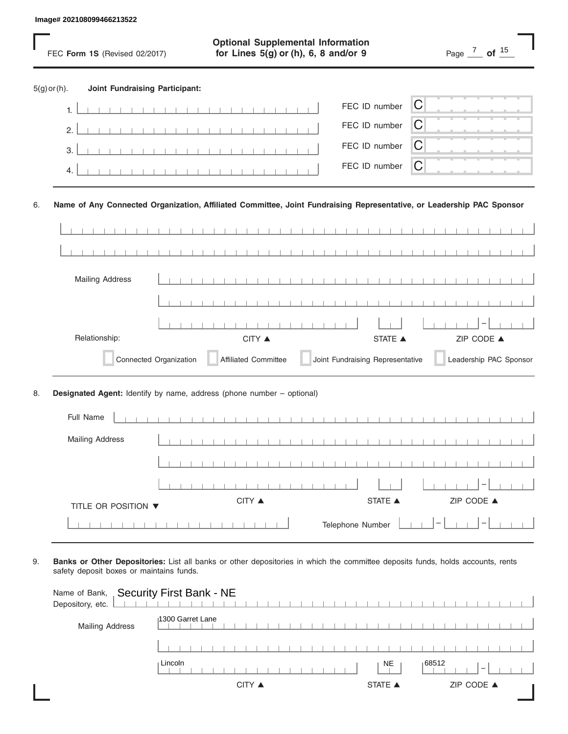|                |           | Image# 202108099466213522             |                        |                                                                                                                       |                                            |                                  |   |                                        |  |
|----------------|-----------|---------------------------------------|------------------------|-----------------------------------------------------------------------------------------------------------------------|--------------------------------------------|----------------------------------|---|----------------------------------------|--|
|                |           | FEC Form 1S (Revised 02/2017)         |                        | <b>Optional Supplemental Information</b><br>for Lines 5(g) or (h), 6, 8 and/or 9                                      |                                            |                                  |   | Page $\frac{7}{10}$ of $\frac{15}{10}$ |  |
| $5(g)$ or (h). |           | <b>Joint Fundraising Participant:</b> |                        |                                                                                                                       |                                            |                                  |   |                                        |  |
|                | 1.        |                                       |                        |                                                                                                                       |                                            | FEC ID number                    | C |                                        |  |
|                | 2.        |                                       |                        |                                                                                                                       |                                            | FEC ID number                    | С |                                        |  |
|                | 3.        |                                       |                        |                                                                                                                       |                                            | FEC ID number                    | С |                                        |  |
|                | 4.        |                                       |                        |                                                                                                                       |                                            | FEC ID number                    | C |                                        |  |
| 6.             |           |                                       |                        | Name of Any Connected Organization, Affiliated Committee, Joint Fundraising Representative, or Leadership PAC Sponsor |                                            |                                  |   |                                        |  |
|                |           |                                       |                        |                                                                                                                       |                                            |                                  |   |                                        |  |
|                |           |                                       |                        |                                                                                                                       | $\sim$ 1 $\sim$ 1 $\sim$<br>$\blacksquare$ |                                  |   |                                        |  |
|                |           | <b>Mailing Address</b>                |                        |                                                                                                                       |                                            |                                  |   |                                        |  |
|                |           |                                       |                        |                                                                                                                       |                                            |                                  |   |                                        |  |
|                |           |                                       |                        |                                                                                                                       |                                            |                                  |   |                                        |  |
|                |           | Relationship:                         |                        | CITY ▲                                                                                                                |                                            | <b>STATE</b> ▲                   |   | ZIP CODE ▲                             |  |
|                |           |                                       | Connected Organization | <b>Affiliated Committee</b>                                                                                           |                                            | Joint Fundraising Representative |   | Leadership PAC Sponsor                 |  |
| 8.             |           |                                       |                        | Designated Agent: Identify by name, address (phone number - optional)                                                 |                                            |                                  |   |                                        |  |
|                | Full Name |                                       |                        |                                                                                                                       |                                            |                                  |   |                                        |  |
|                |           | <b>Mailing Address</b>                |                        |                                                                                                                       |                                            |                                  |   |                                        |  |
|                |           |                                       |                        |                                                                                                                       |                                            |                                  |   |                                        |  |
|                |           |                                       |                        |                                                                                                                       |                                            |                                  |   |                                        |  |
|                |           | TITLE OR POSITION ▼                   |                        | CITY ▲                                                                                                                |                                            | STATE ▲                          |   | ZIP CODE ▲                             |  |
|                |           |                                       |                        |                                                                                                                       |                                            | Telephone Number                 |   |                                        |  |

| Name of Bank, Security First Bank - NE<br>Depository, etc. |                                        |  |
|------------------------------------------------------------|----------------------------------------|--|
| <b>Mailing Address</b>                                     | 1300 Garret Lane                       |  |
|                                                            |                                        |  |
|                                                            | Lincoln<br>88512∣<br>NE                |  |
|                                                            | ZIP CODE ▲<br>CITY ▲<br><b>STATE ▲</b> |  |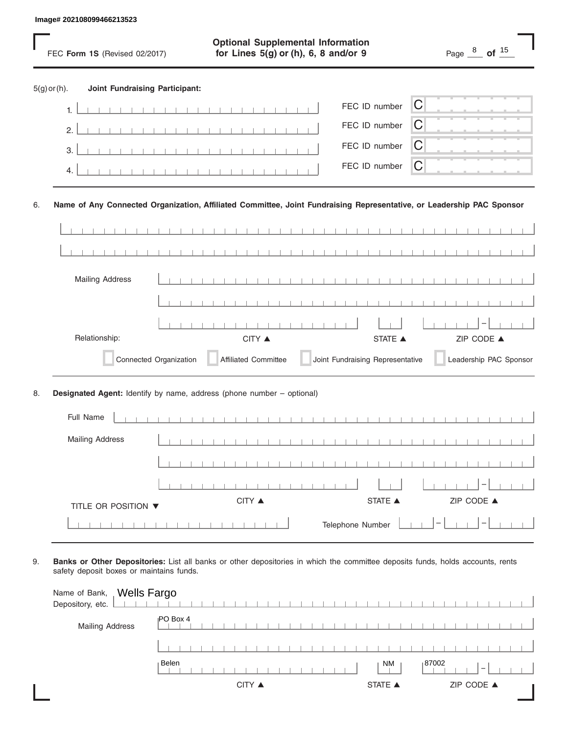|                |           | Image# 202108099466213523             |                        |                                                                                                                       |                                            |                                  |   |                                                              |  |
|----------------|-----------|---------------------------------------|------------------------|-----------------------------------------------------------------------------------------------------------------------|--------------------------------------------|----------------------------------|---|--------------------------------------------------------------|--|
|                |           | FEC Form 1S (Revised 02/2017)         |                        | <b>Optional Supplemental Information</b><br>for Lines 5(g) or (h), 6, 8 and/or 9                                      |                                            |                                  |   | Page $\frac{8}{\phantom{000}}$ of $\frac{15}{\phantom{000}}$ |  |
| $5(g)$ or (h). |           | <b>Joint Fundraising Participant:</b> |                        |                                                                                                                       |                                            |                                  |   |                                                              |  |
|                | 1.        |                                       |                        |                                                                                                                       |                                            | FEC ID number                    | C |                                                              |  |
|                | 2.        |                                       |                        |                                                                                                                       |                                            | FEC ID number                    | С |                                                              |  |
|                | 3.        |                                       |                        |                                                                                                                       |                                            | FEC ID number                    | С |                                                              |  |
|                | 4.        |                                       |                        |                                                                                                                       |                                            | FEC ID number                    | C |                                                              |  |
| 6.             |           |                                       |                        | Name of Any Connected Organization, Affiliated Committee, Joint Fundraising Representative, or Leadership PAC Sponsor |                                            |                                  |   |                                                              |  |
|                |           |                                       |                        |                                                                                                                       |                                            |                                  |   |                                                              |  |
|                |           |                                       |                        |                                                                                                                       | $\sim$ 1 $\sim$ 1 $\sim$<br>$\blacksquare$ |                                  |   |                                                              |  |
|                |           | <b>Mailing Address</b>                |                        |                                                                                                                       |                                            |                                  |   |                                                              |  |
|                |           |                                       |                        |                                                                                                                       |                                            |                                  |   |                                                              |  |
|                |           |                                       |                        |                                                                                                                       |                                            |                                  |   |                                                              |  |
|                |           | Relationship:                         |                        | CITY ▲                                                                                                                |                                            | <b>STATE</b> ▲                   |   | ZIP CODE ▲                                                   |  |
|                |           |                                       | Connected Organization | <b>Affiliated Committee</b>                                                                                           |                                            | Joint Fundraising Representative |   | Leadership PAC Sponsor                                       |  |
| 8.             |           |                                       |                        | Designated Agent: Identify by name, address (phone number - optional)                                                 |                                            |                                  |   |                                                              |  |
|                | Full Name |                                       |                        |                                                                                                                       |                                            |                                  |   |                                                              |  |
|                |           | <b>Mailing Address</b>                |                        |                                                                                                                       |                                            |                                  |   |                                                              |  |
|                |           |                                       |                        |                                                                                                                       |                                            |                                  |   |                                                              |  |
|                |           |                                       |                        |                                                                                                                       |                                            |                                  |   |                                                              |  |
|                |           | TITLE OR POSITION ▼                   |                        | CITY ▲                                                                                                                |                                            | STATE ▲                          |   | ZIP CODE ▲                                                   |  |
|                |           |                                       |                        |                                                                                                                       |                                            | Telephone Number                 |   |                                                              |  |

| Wells Fargo<br>Name of Bank,<br>Depository, etc. |                 |  |         |                                   |
|--------------------------------------------------|-----------------|--|---------|-----------------------------------|
| <b>Mailing Address</b>                           | <b>PO Box 4</b> |  |         |                                   |
|                                                  |                 |  |         |                                   |
|                                                  | Belen           |  | NM      | 87002<br>$\overline{\phantom{a}}$ |
|                                                  | CITY ▲          |  | STATE A | ZIP CODE ▲                        |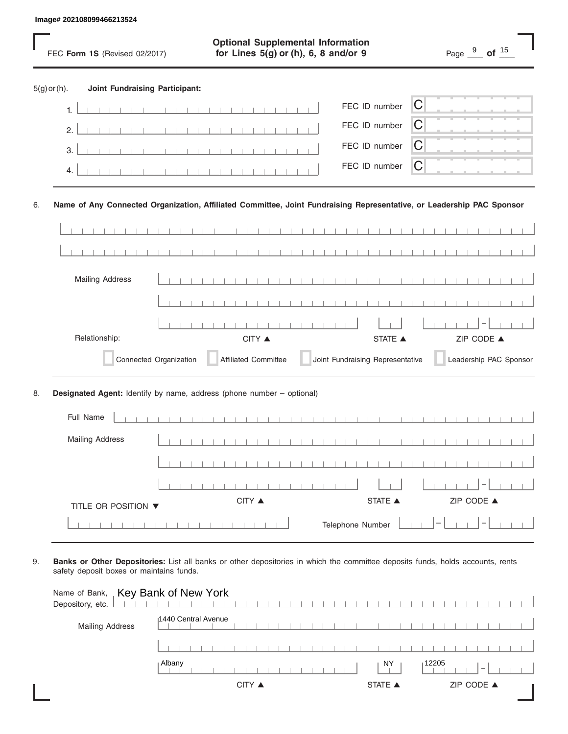|                | Image# 202108099466213524 |                                       |                        |                                                                                                                       |                                            |                                  |                |   |                                      |                        |
|----------------|---------------------------|---------------------------------------|------------------------|-----------------------------------------------------------------------------------------------------------------------|--------------------------------------------|----------------------------------|----------------|---|--------------------------------------|------------------------|
|                |                           | FEC Form 1S (Revised 02/2017)         |                        | <b>Optional Supplemental Information</b><br>for Lines 5(g) or (h), 6, 8 and/or 9                                      |                                            |                                  |                |   | Page $\frac{9}{2}$ of $\frac{15}{2}$ |                        |
| $5(g)$ or (h). |                           | <b>Joint Fundraising Participant:</b> |                        |                                                                                                                       |                                            |                                  |                |   |                                      |                        |
|                | 1.                        |                                       |                        |                                                                                                                       |                                            |                                  | FEC ID number  | C |                                      |                        |
|                | 2.                        |                                       |                        |                                                                                                                       |                                            |                                  | FEC ID number  | С |                                      |                        |
|                | 3.                        |                                       |                        |                                                                                                                       |                                            |                                  | FEC ID number  | С |                                      |                        |
|                | 4.                        |                                       |                        |                                                                                                                       |                                            |                                  | FEC ID number  | C |                                      |                        |
| 6.             |                           |                                       |                        | Name of Any Connected Organization, Affiliated Committee, Joint Fundraising Representative, or Leadership PAC Sponsor |                                            |                                  |                |   |                                      |                        |
|                |                           |                                       |                        |                                                                                                                       |                                            |                                  |                |   |                                      |                        |
|                |                           |                                       |                        |                                                                                                                       | $\sim$ 1 $\sim$ 1 $\sim$<br>$\blacksquare$ |                                  |                |   |                                      |                        |
|                | <b>Mailing Address</b>    |                                       |                        |                                                                                                                       |                                            |                                  |                |   |                                      |                        |
|                |                           |                                       |                        |                                                                                                                       |                                            |                                  |                |   |                                      |                        |
|                |                           |                                       |                        |                                                                                                                       |                                            |                                  |                |   |                                      |                        |
|                | Relationship:             |                                       |                        | CITY ▲                                                                                                                |                                            |                                  | <b>STATE</b> ▲ |   | ZIP CODE ▲                           |                        |
|                |                           |                                       | Connected Organization | <b>Affiliated Committee</b>                                                                                           |                                            | Joint Fundraising Representative |                |   |                                      | Leadership PAC Sponsor |
| 8.             |                           |                                       |                        | Designated Agent: Identify by name, address (phone number - optional)                                                 |                                            |                                  |                |   |                                      |                        |
|                | Full Name                 |                                       |                        |                                                                                                                       |                                            |                                  |                |   |                                      |                        |
|                | <b>Mailing Address</b>    |                                       |                        |                                                                                                                       |                                            |                                  |                |   |                                      |                        |
|                |                           |                                       |                        |                                                                                                                       |                                            |                                  |                |   |                                      |                        |
|                |                           |                                       |                        |                                                                                                                       |                                            |                                  |                |   |                                      |                        |
|                |                           | TITLE OR POSITION ▼                   |                        | CITY ▲                                                                                                                |                                            |                                  | STATE ▲        |   | ZIP CODE ▲                           |                        |
|                |                           |                                       |                        |                                                                                                                       |                                            | Telephone Number                 |                |   |                                      |                        |

| Name of Bank, Key Bank of New York<br>Depository, etc. |                                                   |  |
|--------------------------------------------------------|---------------------------------------------------|--|
| <b>Mailing Address</b>                                 | 1440 Central Avenue                               |  |
|                                                        |                                                   |  |
|                                                        | Albany<br>NY<br>12205<br>$\overline{\phantom{a}}$ |  |
|                                                        | ZIP CODE ▲<br>CITY ▲<br><b>STATE ▲</b>            |  |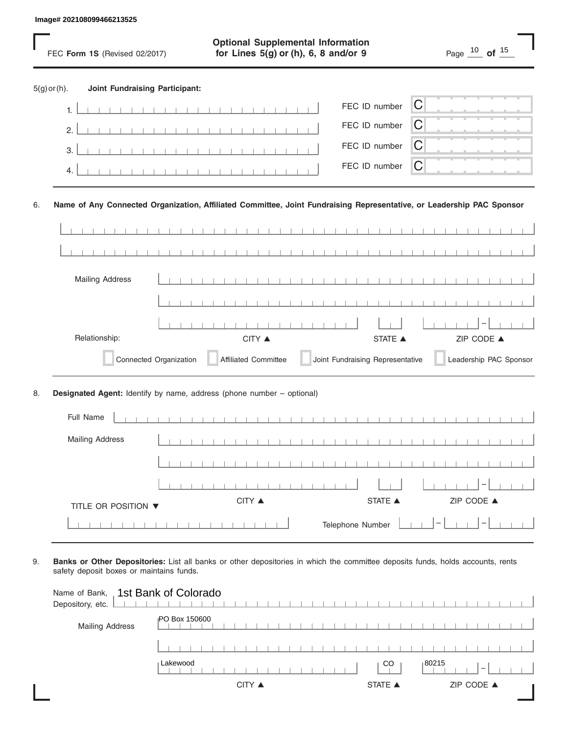|                |    | Image# 202108099466213525             |                                                                                                                       |                                                     |
|----------------|----|---------------------------------------|-----------------------------------------------------------------------------------------------------------------------|-----------------------------------------------------|
|                |    | FEC Form 1S (Revised 02/2017)         | <b>Optional Supplemental Information</b><br>for Lines 5(g) or (h), 6, 8 and/or 9                                      | Page $\frac{10}{\text{O}}$ of $\frac{15}{\text{O}}$ |
| $5(g)$ or (h). |    | <b>Joint Fundraising Participant:</b> |                                                                                                                       |                                                     |
|                | 1. |                                       | FEC ID number                                                                                                         | C                                                   |
|                | 2. |                                       | FEC ID number                                                                                                         | С                                                   |
|                | 3. |                                       | FEC ID number                                                                                                         | C                                                   |
|                | 4. |                                       | FEC ID number                                                                                                         | C                                                   |
| 6.             |    |                                       | Name of Any Connected Organization, Affiliated Committee, Joint Fundraising Representative, or Leadership PAC Sponsor |                                                     |
|                |    |                                       |                                                                                                                       |                                                     |
|                |    |                                       | <b>Contract Contract Contract</b><br>$\blacksquare$                                                                   |                                                     |
|                |    | <b>Mailing Address</b>                |                                                                                                                       |                                                     |
|                |    |                                       |                                                                                                                       |                                                     |
|                |    |                                       |                                                                                                                       |                                                     |
|                |    | Relationship:                         | CITY ▲<br><b>STATE</b> ▲                                                                                              | ZIP CODE ▲                                          |
|                |    | Connected Organization                | Joint Fundraising Representative<br><b>Affiliated Committee</b>                                                       | Leadership PAC Sponsor                              |
| 8.             |    |                                       | Designated Agent: Identify by name, address (phone number - optional)                                                 |                                                     |
|                |    | Full Name                             |                                                                                                                       |                                                     |
|                |    | <b>Mailing Address</b>                |                                                                                                                       |                                                     |
|                |    |                                       |                                                                                                                       |                                                     |
|                |    |                                       |                                                                                                                       |                                                     |
|                |    | TITLE OR POSITION ▼                   | CITY ▲<br>STATE ▲                                                                                                     | ZIP CODE ▲                                          |
|                |    |                                       | Telephone Number                                                                                                      |                                                     |

| Name of Bank, 1st Bank of Colorado<br>Depository, etc. |                                                                          |  |
|--------------------------------------------------------|--------------------------------------------------------------------------|--|
| <b>Mailing Address</b>                                 | <b>PO Box 150600</b>                                                     |  |
|                                                        |                                                                          |  |
|                                                        | Lakewood<br>$ 80215\rangle$<br><sub>CO</sub><br>$\overline{\phantom{a}}$ |  |
|                                                        | ZIP CODE ▲<br>CITY ▲<br><b>STATE ▲</b>                                   |  |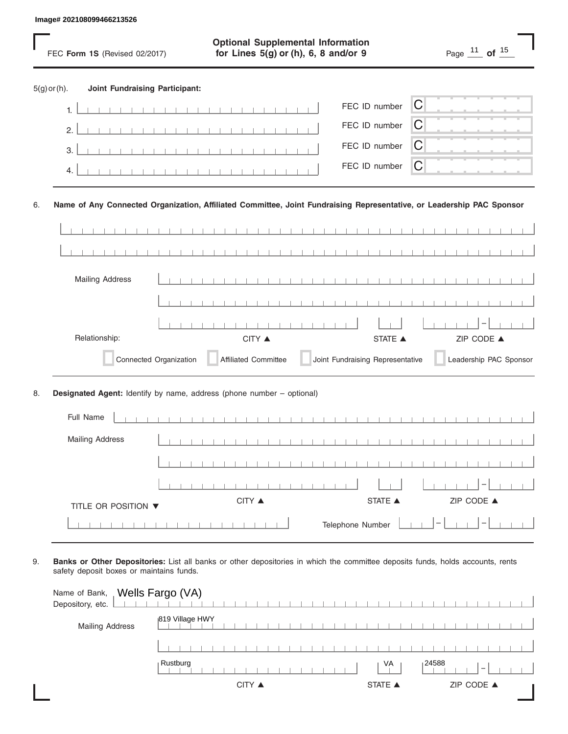|                |           | Image# 202108099466213526                                                                                             |                        |                                                                                  |                                  |   |                                                           |                        |
|----------------|-----------|-----------------------------------------------------------------------------------------------------------------------|------------------------|----------------------------------------------------------------------------------|----------------------------------|---|-----------------------------------------------------------|------------------------|
|                |           | FEC Form 1S (Revised 02/2017)                                                                                         |                        | <b>Optional Supplemental Information</b><br>for Lines 5(g) or (h), 6, 8 and/or 9 |                                  |   | Page $\frac{11}{\phantom{0}}$ of $\frac{15}{\phantom{0}}$ |                        |
| $5(g)$ or (h). |           | <b>Joint Fundraising Participant:</b>                                                                                 |                        |                                                                                  |                                  |   |                                                           |                        |
|                | 1.        |                                                                                                                       |                        |                                                                                  | FEC ID number                    | C |                                                           |                        |
|                | 2.        |                                                                                                                       |                        |                                                                                  | FEC ID number                    | С |                                                           |                        |
|                | 3.        |                                                                                                                       |                        |                                                                                  | FEC ID number                    | C |                                                           |                        |
|                | 4.        |                                                                                                                       |                        |                                                                                  | FEC ID number                    | C |                                                           |                        |
| 6.             |           | Name of Any Connected Organization, Affiliated Committee, Joint Fundraising Representative, or Leadership PAC Sponsor |                        |                                                                                  |                                  |   |                                                           |                        |
|                |           |                                                                                                                       |                        |                                                                                  |                                  |   |                                                           |                        |
|                |           |                                                                                                                       |                        |                                                                                  |                                  |   |                                                           |                        |
|                |           | <b>Mailing Address</b>                                                                                                |                        |                                                                                  |                                  |   |                                                           |                        |
|                |           |                                                                                                                       |                        |                                                                                  |                                  |   |                                                           |                        |
|                |           |                                                                                                                       |                        |                                                                                  |                                  |   |                                                           |                        |
|                |           | Relationship:                                                                                                         |                        | CITY ▲                                                                           | <b>STATE</b> ▲                   |   | ZIP CODE ▲                                                |                        |
|                |           |                                                                                                                       | Connected Organization | <b>Affiliated Committee</b>                                                      | Joint Fundraising Representative |   |                                                           | Leadership PAC Sponsor |
| 8.             |           | Designated Agent: Identify by name, address (phone number - optional)                                                 |                        |                                                                                  |                                  |   |                                                           |                        |
|                | Full Name |                                                                                                                       |                        |                                                                                  |                                  |   |                                                           |                        |
|                |           | <b>Mailing Address</b>                                                                                                |                        |                                                                                  |                                  |   |                                                           |                        |
|                |           |                                                                                                                       |                        |                                                                                  |                                  |   |                                                           |                        |
|                |           |                                                                                                                       |                        |                                                                                  |                                  |   |                                                           |                        |
|                |           | TITLE OR POSITION ▼                                                                                                   |                        | CITY ▲                                                                           | STATE ▲                          |   | ZIP CODE ▲                                                |                        |
|                |           |                                                                                                                       |                        |                                                                                  | Telephone Number                 |   |                                                           |                        |

| Name of Bank, Wells Fargo (VA)<br>Depository, etc. |                 |        |  |  |  |  |  |                |  |       |  |                          |  |  |
|----------------------------------------------------|-----------------|--------|--|--|--|--|--|----------------|--|-------|--|--------------------------|--|--|
| <b>Mailing Address</b>                             | 819 Village HWY |        |  |  |  |  |  |                |  |       |  |                          |  |  |
|                                                    |                 |        |  |  |  |  |  |                |  |       |  |                          |  |  |
|                                                    | Rustburg        |        |  |  |  |  |  | VA             |  | 24588 |  | $\overline{\phantom{a}}$ |  |  |
|                                                    |                 | CITY ▲ |  |  |  |  |  | <b>STATE ▲</b> |  |       |  | ZIP CODE ▲               |  |  |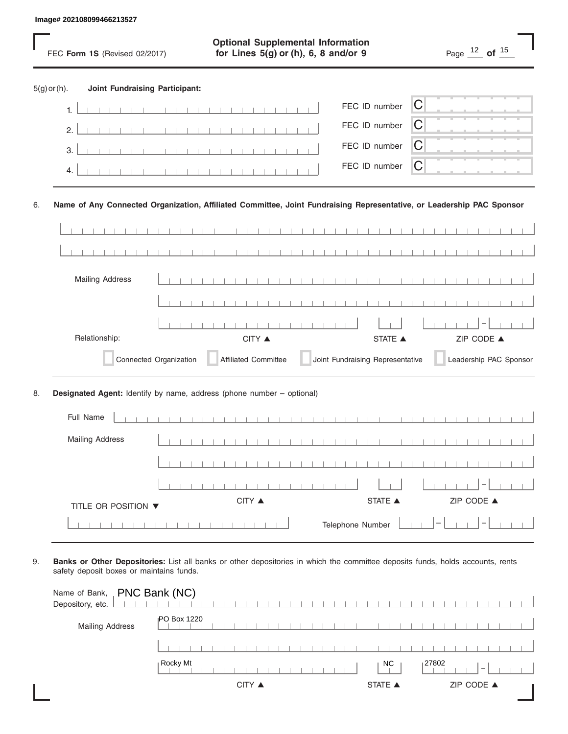|                |    | Image# 202108099466213527                                                                                             |                        |                                                                                  |                |                  |                                  |             |                                                           |                        |  |
|----------------|----|-----------------------------------------------------------------------------------------------------------------------|------------------------|----------------------------------------------------------------------------------|----------------|------------------|----------------------------------|-------------|-----------------------------------------------------------|------------------------|--|
|                |    | FEC Form 1S (Revised 02/2017)                                                                                         |                        | <b>Optional Supplemental Information</b><br>for Lines 5(g) or (h), 6, 8 and/or 9 |                |                  |                                  |             | Page $\frac{12}{\phantom{0}}$ of $\frac{15}{\phantom{0}}$ |                        |  |
| $5(g)$ or (h). |    | <b>Joint Fundraising Participant:</b>                                                                                 |                        |                                                                                  |                |                  |                                  |             |                                                           |                        |  |
|                | 1. |                                                                                                                       |                        |                                                                                  |                | FEC ID number    |                                  | $\mathsf C$ |                                                           |                        |  |
|                | 2. |                                                                                                                       |                        |                                                                                  |                | FEC ID number    |                                  | С           |                                                           |                        |  |
|                | 3. |                                                                                                                       |                        |                                                                                  |                | FEC ID number    |                                  | C           |                                                           |                        |  |
|                | 4. |                                                                                                                       |                        |                                                                                  |                | FEC ID number    |                                  | C           |                                                           |                        |  |
| 6.             |    | Name of Any Connected Organization, Affiliated Committee, Joint Fundraising Representative, or Leadership PAC Sponsor |                        |                                                                                  |                |                  |                                  |             |                                                           |                        |  |
|                |    |                                                                                                                       |                        |                                                                                  |                |                  |                                  |             |                                                           |                        |  |
|                |    |                                                                                                                       |                        |                                                                                  | $\blacksquare$ | .                |                                  |             |                                                           |                        |  |
|                |    | <b>Mailing Address</b>                                                                                                |                        |                                                                                  |                |                  |                                  |             |                                                           |                        |  |
|                |    |                                                                                                                       |                        |                                                                                  |                |                  |                                  |             |                                                           |                        |  |
|                |    |                                                                                                                       |                        |                                                                                  |                |                  |                                  |             |                                                           |                        |  |
|                |    | Relationship:                                                                                                         |                        | CITY ▲                                                                           |                |                  | <b>STATE</b> ▲                   |             | ZIP CODE ▲                                                |                        |  |
|                |    |                                                                                                                       | Connected Organization | <b>Affiliated Committee</b>                                                      |                |                  | Joint Fundraising Representative |             |                                                           | Leadership PAC Sponsor |  |
| 8.             |    | Designated Agent: Identify by name, address (phone number - optional)                                                 |                        |                                                                                  |                |                  |                                  |             |                                                           |                        |  |
|                |    | Full Name                                                                                                             |                        |                                                                                  |                |                  |                                  |             |                                                           |                        |  |
|                |    | <b>Mailing Address</b>                                                                                                |                        |                                                                                  |                |                  |                                  |             |                                                           |                        |  |
|                |    |                                                                                                                       |                        |                                                                                  |                |                  |                                  |             |                                                           |                        |  |
|                |    |                                                                                                                       |                        |                                                                                  |                |                  |                                  |             |                                                           |                        |  |
|                |    | TITLE OR POSITION ▼                                                                                                   |                        | CITY ▲                                                                           |                |                  | STATE ▲                          |             | ZIP CODE ▲                                                |                        |  |
|                |    |                                                                                                                       |                        |                                                                                  |                | Telephone Number |                                  |             |                                                           |                        |  |

| Name of Bank, <b>PNC Bank (NC)</b><br>Depository, etc. |                    |                |             |
|--------------------------------------------------------|--------------------|----------------|-------------|
| <b>Mailing Address</b>                                 | <b>PO Box 1220</b> |                |             |
|                                                        |                    |                |             |
|                                                        | Rocky Mt           | NC.            | $ ^{27802}$ |
|                                                        | CITY ▲             | <b>STATE ▲</b> | ZIP CODE ▲  |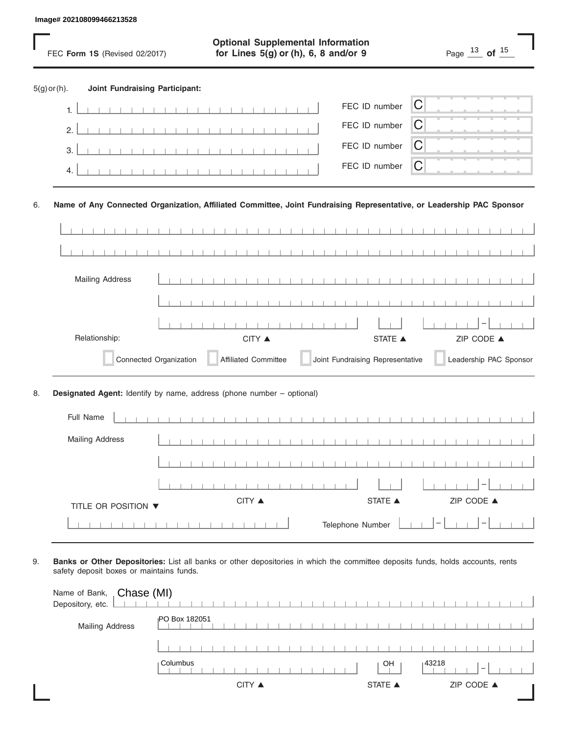|    |                | Image# 202108099466213528             |                                                                                  |   |                                  |                                                                                                                       |  |
|----|----------------|---------------------------------------|----------------------------------------------------------------------------------|---|----------------------------------|-----------------------------------------------------------------------------------------------------------------------|--|
|    |                | FEC Form 1S (Revised 02/2017)         | <b>Optional Supplemental Information</b><br>for Lines 5(g) or (h), 6, 8 and/or 9 |   |                                  | Page $\frac{13}{\phantom{0}}$ of $\frac{15}{\phantom{0}}$                                                             |  |
|    | $5(g)$ or (h). | <b>Joint Fundraising Participant:</b> |                                                                                  |   |                                  |                                                                                                                       |  |
|    | 1.             |                                       |                                                                                  |   | FEC ID number                    | $\mathsf C$                                                                                                           |  |
|    | 2.             |                                       |                                                                                  |   | FEC ID number                    | С                                                                                                                     |  |
|    | 3.             |                                       |                                                                                  |   | FEC ID number                    | C                                                                                                                     |  |
|    | 4.             |                                       |                                                                                  |   | FEC ID number                    | C                                                                                                                     |  |
| 6. |                |                                       |                                                                                  |   |                                  | Name of Any Connected Organization, Affiliated Committee, Joint Fundraising Representative, or Leadership PAC Sponsor |  |
|    |                |                                       |                                                                                  |   |                                  |                                                                                                                       |  |
|    |                |                                       | $\blacksquare$                                                                   | . |                                  |                                                                                                                       |  |
|    |                | <b>Mailing Address</b>                |                                                                                  |   |                                  |                                                                                                                       |  |
|    |                |                                       |                                                                                  |   |                                  |                                                                                                                       |  |
|    |                |                                       |                                                                                  |   |                                  |                                                                                                                       |  |
|    |                | Relationship:                         | CITY ▲                                                                           |   | <b>STATE</b> ▲                   | ZIP CODE ▲                                                                                                            |  |
|    |                | Connected Organization                | <b>Affiliated Committee</b>                                                      |   | Joint Fundraising Representative | Leadership PAC Sponsor                                                                                                |  |
| 8. |                |                                       | Designated Agent: Identify by name, address (phone number - optional)            |   |                                  |                                                                                                                       |  |
|    |                | Full Name                             |                                                                                  |   |                                  |                                                                                                                       |  |
|    |                | <b>Mailing Address</b>                |                                                                                  |   |                                  |                                                                                                                       |  |
|    |                |                                       |                                                                                  |   |                                  |                                                                                                                       |  |
|    |                |                                       |                                                                                  |   |                                  |                                                                                                                       |  |
|    |                | TITLE OR POSITION ▼                   | CITY ▲                                                                           |   | STATE $\blacktriangle$           | ZIP CODE ▲                                                                                                            |  |
|    |                |                                       |                                                                                  |   | Telephone Number                 |                                                                                                                       |  |

| Name of Bank, Chase (MI)<br>Depository, etc. |                |                              |
|----------------------------------------------|----------------|------------------------------|
| <b>Mailing Address</b>                       | IPO Box 182051 |                              |
|                                              |                |                              |
|                                              | Columbus       | $ 43218\rangle$<br>OH        |
|                                              | CITY ▲         | ZIP CODE ▲<br><b>STATE ▲</b> |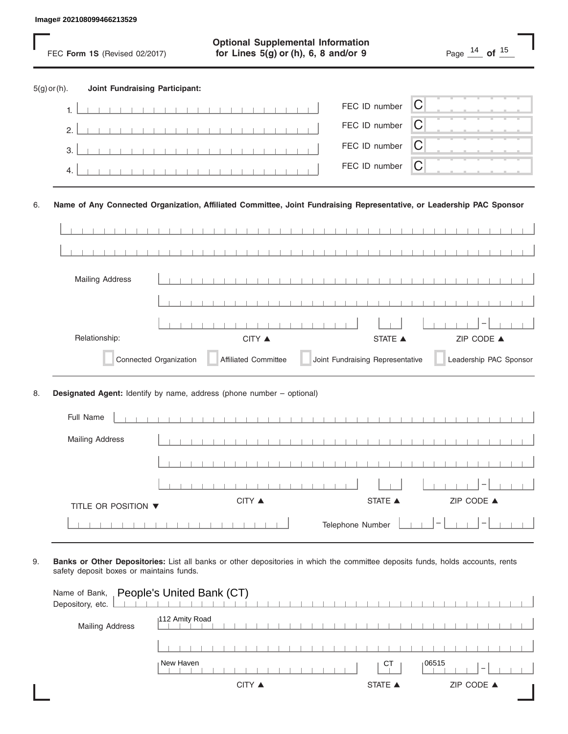|                |           | Image# 202108099466213529                                                                                             |                        |                                                                                  |                                                     |                                  |                |   |                                                           |                        |
|----------------|-----------|-----------------------------------------------------------------------------------------------------------------------|------------------------|----------------------------------------------------------------------------------|-----------------------------------------------------|----------------------------------|----------------|---|-----------------------------------------------------------|------------------------|
|                |           | FEC Form 1S (Revised 02/2017)                                                                                         |                        | <b>Optional Supplemental Information</b><br>for Lines 5(g) or (h), 6, 8 and/or 9 |                                                     |                                  |                |   | Page $\frac{14}{\phantom{0}}$ of $\frac{15}{\phantom{0}}$ |                        |
| $5(g)$ or (h). |           | <b>Joint Fundraising Participant:</b>                                                                                 |                        |                                                                                  |                                                     |                                  |                |   |                                                           |                        |
|                | 1.        |                                                                                                                       |                        |                                                                                  |                                                     | FEC ID number                    |                | C |                                                           |                        |
|                | 2.        |                                                                                                                       |                        |                                                                                  |                                                     |                                  | FEC ID number  | С |                                                           |                        |
|                | 3.        |                                                                                                                       |                        |                                                                                  |                                                     |                                  | FEC ID number  | C |                                                           |                        |
|                | 4.        |                                                                                                                       |                        |                                                                                  |                                                     |                                  | FEC ID number  | C |                                                           |                        |
| 6.             |           | Name of Any Connected Organization, Affiliated Committee, Joint Fundraising Representative, or Leadership PAC Sponsor |                        |                                                                                  |                                                     |                                  |                |   |                                                           |                        |
|                |           |                                                                                                                       |                        |                                                                                  |                                                     |                                  |                |   |                                                           |                        |
|                |           |                                                                                                                       |                        |                                                                                  | <b>Contract Contract Contract</b><br>$\blacksquare$ |                                  |                |   |                                                           |                        |
|                |           | <b>Mailing Address</b>                                                                                                |                        |                                                                                  |                                                     |                                  |                |   |                                                           |                        |
|                |           |                                                                                                                       |                        |                                                                                  |                                                     |                                  |                |   |                                                           |                        |
|                |           |                                                                                                                       |                        |                                                                                  |                                                     |                                  |                |   |                                                           |                        |
|                |           | Relationship:                                                                                                         |                        | CITY ▲                                                                           |                                                     |                                  | <b>STATE</b> ▲ |   | ZIP CODE ▲                                                |                        |
|                |           |                                                                                                                       | Connected Organization | <b>Affiliated Committee</b>                                                      |                                                     | Joint Fundraising Representative |                |   |                                                           | Leadership PAC Sponsor |
| 8.             |           | Designated Agent: Identify by name, address (phone number - optional)                                                 |                        |                                                                                  |                                                     |                                  |                |   |                                                           |                        |
|                | Full Name |                                                                                                                       |                        |                                                                                  |                                                     |                                  |                |   |                                                           |                        |
|                |           | <b>Mailing Address</b>                                                                                                |                        |                                                                                  |                                                     |                                  |                |   |                                                           |                        |
|                |           |                                                                                                                       |                        |                                                                                  |                                                     |                                  |                |   |                                                           |                        |
|                |           |                                                                                                                       |                        |                                                                                  |                                                     |                                  |                |   |                                                           |                        |
|                |           | TITLE OR POSITION ▼                                                                                                   |                        | CITY ▲                                                                           |                                                     |                                  | STATE ▲        |   | ZIP CODE ▲                                                |                        |
|                |           |                                                                                                                       |                        |                                                                                  |                                                     | Telephone Number                 |                |   |                                                           |                        |

| Name of Bank, People's United Bank (CT)<br>Depository, etc. |                |                                          |  |
|-------------------------------------------------------------|----------------|------------------------------------------|--|
| <b>Mailing Address</b>                                      | 112 Amity Road |                                          |  |
|                                                             |                |                                          |  |
|                                                             | New Haven      | 106515<br>СT<br>$\overline{\phantom{a}}$ |  |
|                                                             | CITY ▲         | <b>STATE ▲</b><br>ZIP CODE ▲             |  |